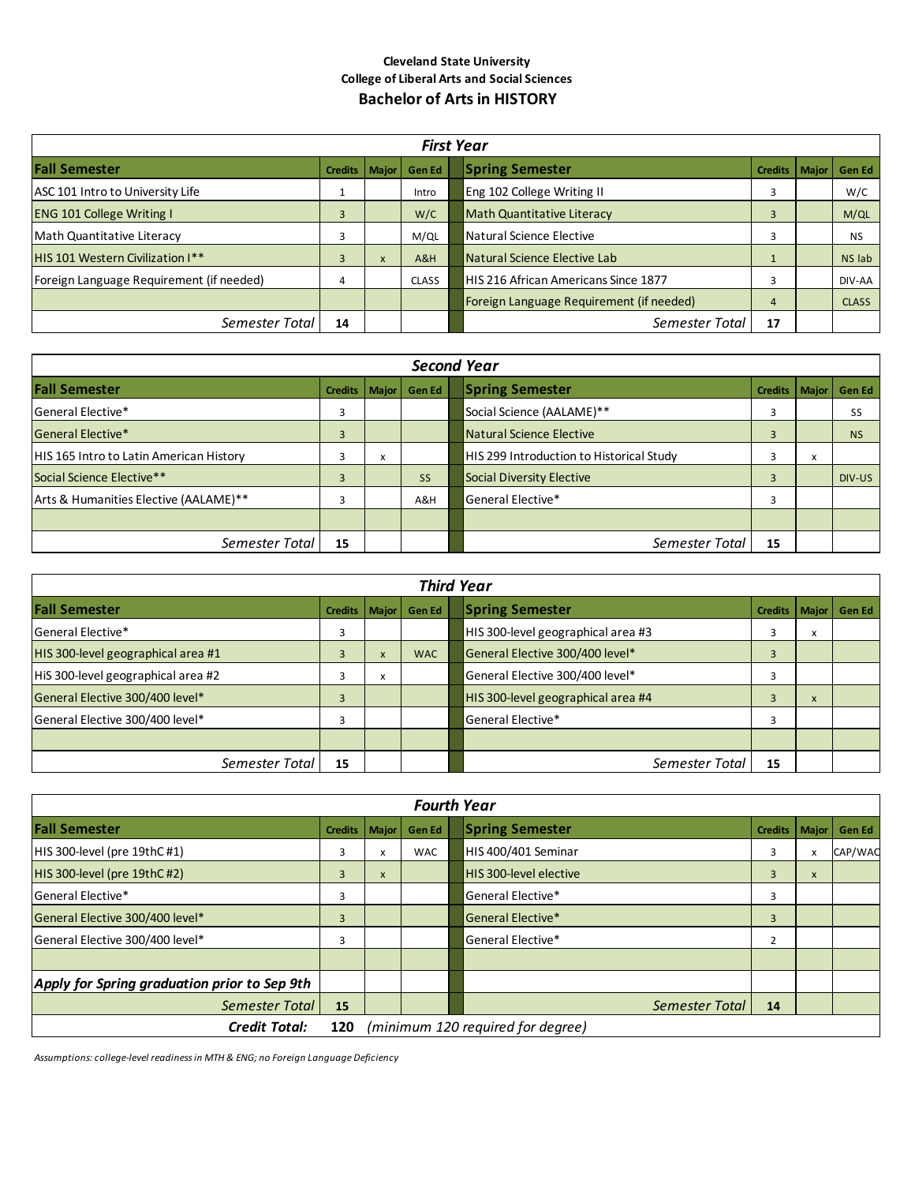## **Cleveland State University College of Liberal Arts and Social Sciences Bachelor of Arts in HISTORY**

| <b>First Year</b>                        |                 |   |               |                                                     |              |  |  |
|------------------------------------------|-----------------|---|---------------|-----------------------------------------------------|--------------|--|--|
| <b>Fall Semester</b>                     | Credits   Major |   | <b>Gen Ed</b> | <b>Spring Semester</b><br><b>Credits</b><br>  Major | Gen Ed       |  |  |
| ASC 101 Intro to University Life         |                 |   | Intro         | Eng 102 College Writing II<br>3                     | W/C          |  |  |
| <b>ENG 101 College Writing I</b>         | $\overline{3}$  |   | W/C           | <b>Math Quantitative Literacy</b><br>3              | M/QL         |  |  |
| Math Quantitative Literacy               |                 |   | M/QL          | Natural Science Elective<br>3                       | <b>NS</b>    |  |  |
| HIS 101 Western Civilization I**         | 3               | x | A&H           | Natural Science Elective Lab                        | NS lab       |  |  |
| Foreign Language Requirement (if needed) | 4               |   | <b>CLASS</b>  | HIS 216 African Americans Since 1877<br>3           | DIV-AA       |  |  |
|                                          |                 |   |               | Foreign Language Requirement (if needed)<br>4       | <b>CLASS</b> |  |  |
| Semester Total                           | 14              |   |               | Semester Total<br>17                                |              |  |  |

| <b>Second Year</b>                             |                 |   |           |  |                                          |                 |   |           |
|------------------------------------------------|-----------------|---|-----------|--|------------------------------------------|-----------------|---|-----------|
| <b>Fall Semester</b>                           | Credits   Major |   | Gen Ed    |  | <b>Spring Semester</b>                   | Credits   Major |   | Gen Ed    |
| General Elective*                              | 3               |   |           |  | Social Science (AALAME)**                | 3               |   | SS        |
| General Elective*                              | 3               |   |           |  | Natural Science Elective                 | 3               |   | <b>NS</b> |
| <b>HIS 165 Intro to Latin American History</b> | 3               | x |           |  | HIS 299 Introduction to Historical Study | 3               | x |           |
| Social Science Elective**                      | 3               |   | <b>SS</b> |  | <b>Social Diversity Elective</b>         | 3               |   | DIV-US    |
| Arts & Humanities Elective (AALAME)**          | 3               |   | A&H       |  | General Elective*                        | 3               |   |           |
|                                                |                 |   |           |  |                                          |                 |   |           |
| Semester Total                                 | 15              |   |           |  | Semester Total                           | 15              |   |           |

| <b>Third Year</b>                  |                 |              |               |  |                                    |                |                   |               |
|------------------------------------|-----------------|--------------|---------------|--|------------------------------------|----------------|-------------------|---------------|
| <b>Fall Semester</b>               | Credits   Major |              | <b>Gen Ed</b> |  | <b>Spring Semester</b>             | <b>Credits</b> | Major             | <b>Gen Ed</b> |
| General Elective*                  | 3               |              |               |  | HIS 300-level geographical area #3 |                | $\checkmark$<br>л |               |
| HIS 300-level geographical area #1 | 3               | $\mathsf{x}$ | <b>WAC</b>    |  | General Elective 300/400 level*    | 3              |                   |               |
| HiS 300-level geographical area #2 |                 | $\lambda$    |               |  | General Elective 300/400 level*    |                |                   |               |
| General Elective 300/400 level*    | 3               |              |               |  | HIS 300-level geographical area #4 |                | X                 |               |
| General Elective 300/400 level*    | 3               |              |               |  | General Elective*                  | З              |                   |               |
|                                    |                 |              |               |  |                                    |                |                   |               |
| Semester Total                     | 15              |              |               |  | Semester Total                     | 15             |                   |               |

| <b>Fourth Year</b>                           |                                          |       |               |  |                        |                |              |               |
|----------------------------------------------|------------------------------------------|-------|---------------|--|------------------------|----------------|--------------|---------------|
| <b>Fall Semester</b>                         | <b>Credits</b>                           | Major | <b>Gen Ed</b> |  | <b>Spring Semester</b> | <b>Credits</b> | <b>Major</b> | <b>Gen Ed</b> |
| HIS 300-level (pre 19thC#1)                  | 3                                        | x     | <b>WAC</b>    |  | HIS 400/401 Seminar    | 3              |              | CAP/WAC       |
| HIS 300-level (pre 19thC#2)                  | 3                                        | X     |               |  | HIS 300-level elective | 3              | X            |               |
| General Elective*                            | 3                                        |       |               |  | General Elective*      | 3              |              |               |
| General Elective 300/400 level*              | 3                                        |       |               |  | General Elective*      | 3              |              |               |
| General Elective 300/400 level*              | 3                                        |       |               |  | General Elective*      | 2              |              |               |
|                                              |                                          |       |               |  |                        |                |              |               |
| Apply for Spring graduation prior to Sep 9th |                                          |       |               |  |                        |                |              |               |
| Semester Total                               | 15                                       |       |               |  | Semester Total         | 14             |              |               |
| <b>Credit Total:</b>                         | (minimum 120 required for degree)<br>120 |       |               |  |                        |                |              |               |

*Assumptions: college-level readiness in MTH & ENG; no Foreign Language Deficiency*